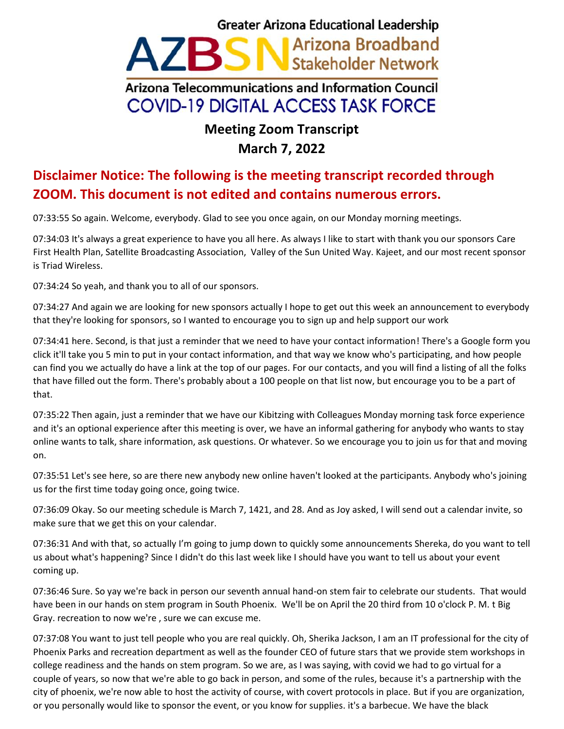## **Greater Arizona Educational Leadership** AZBSN Arizona Broadband Arizona Telecommunications and Information Council **COVID-19 DIGITAL ACCESS TASK FORCE**

## **Meeting Zoom Transcript March 7, 2022**

## **Disclaimer Notice: The following is the meeting transcript recorded through ZOOM. This document is not edited and contains numerous errors.**

07:33:55 So again. Welcome, everybody. Glad to see you once again, on our Monday morning meetings.

07:34:03 It's always a great experience to have you all here. As always I like to start with thank you our sponsors Care First Health Plan, Satellite Broadcasting Association, Valley of the Sun United Way. Kajeet, and our most recent sponsor is Triad Wireless.

07:34:24 So yeah, and thank you to all of our sponsors.

07:34:27 And again we are looking for new sponsors actually I hope to get out this week an announcement to everybody that they're looking for sponsors, so I wanted to encourage you to sign up and help support our work

07:34:41 here. Second, is that just a reminder that we need to have your contact information! There's a Google form you click it'll take you 5 min to put in your contact information, and that way we know who's participating, and how people can find you we actually do have a link at the top of our pages. For our contacts, and you will find a listing of all the folks that have filled out the form. There's probably about a 100 people on that list now, but encourage you to be a part of that.

07:35:22 Then again, just a reminder that we have our Kibitzing with Colleagues Monday morning task force experience and it's an optional experience after this meeting is over, we have an informal gathering for anybody who wants to stay online wants to talk, share information, ask questions. Or whatever. So we encourage you to join us for that and moving on.

07:35:51 Let's see here, so are there new anybody new online haven't looked at the participants. Anybody who's joining us for the first time today going once, going twice.

07:36:09 Okay. So our meeting schedule is March 7, 1421, and 28. And as Joy asked, I will send out a calendar invite, so make sure that we get this on your calendar.

07:36:31 And with that, so actually I'm going to jump down to quickly some announcements Shereka, do you want to tell us about what's happening? Since I didn't do this last week like I should have you want to tell us about your event coming up.

07:36:46 Sure. So yay we're back in person our seventh annual hand-on stem fair to celebrate our students. That would have been in our hands on stem program in South Phoenix. We'll be on April the 20 third from 10 o'clock P. M. t Big Gray. recreation to now we're , sure we can excuse me.

07:37:08 You want to just tell people who you are real quickly. Oh, Sherika Jackson, I am an IT professional for the city of Phoenix Parks and recreation department as well as the founder CEO of future stars that we provide stem workshops in college readiness and the hands on stem program. So we are, as I was saying, with covid we had to go virtual for a couple of years, so now that we're able to go back in person, and some of the rules, because it's a partnership with the city of phoenix, we're now able to host the activity of course, with covert protocols in place. But if you are organization, or you personally would like to sponsor the event, or you know for supplies. it's a barbecue. We have the black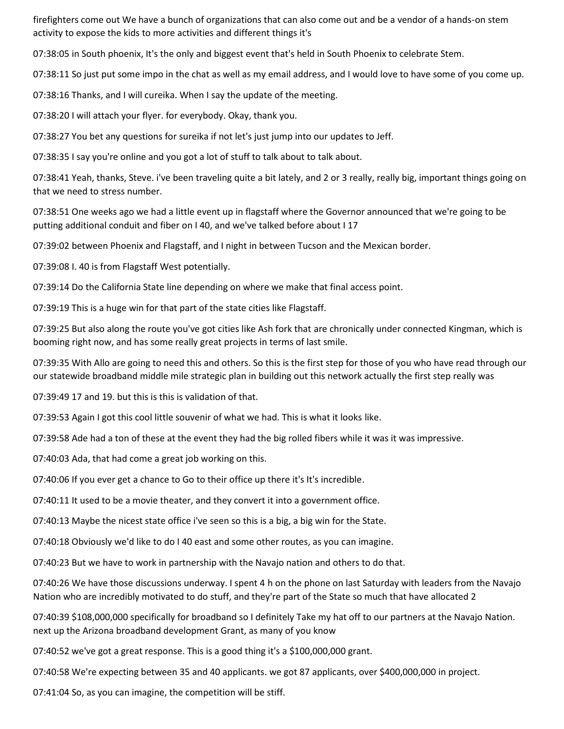firefighters come out We have a bunch of organizations that can also come out and be a vendor of a hands-on stem activity to expose the kids to more activities and different things it's

07:38:05 in South phoenix, It's the only and biggest event that's held in South Phoenix to celebrate Stem.

07:38:11 So just put some impo in the chat as well as my email address, and I would love to have some of you come up.

07:38:16 Thanks, and I will cureika. When I say the update of the meeting.

07:38:20 I will attach your flyer. for everybody. Okay, thank you.

07:38:27 You bet any questions for sureika if not let's just jump into our updates to Jeff.

07:38:35 I say you're online and you got a lot of stuff to talk about to talk about.

07:38:41 Yeah, thanks, Steve. i've been traveling quite a bit lately, and 2 or 3 really, really big, important things going on that we need to stress number.

07:38:51 One weeks ago we had a little event up in flagstaff where the Governor announced that we're going to be putting additional conduit and fiber on I 40, and we've talked before about I 17

07:39:02 between Phoenix and Flagstaff, and I night in between Tucson and the Mexican border.

07:39:08 I. 40 is from Flagstaff West potentially.

07:39:14 Do the California State line depending on where we make that final access point.

07:39:19 This is a huge win for that part of the state cities like Flagstaff.

07:39:25 But also along the route you've got cities like Ash fork that are chronically under connected Kingman, which is booming right now, and has some really great projects in terms of last smile.

07:39:35 With Allo are going to need this and others. So this is the first step for those of you who have read through our our statewide broadband middle mile strategic plan in building out this network actually the first step really was

07:39:49 17 and 19. but this is this is validation of that.

07:39:53 Again I got this cool little souvenir of what we had. This is what it looks like.

07:39:58 Ade had a ton of these at the event they had the big rolled fibers while it was it was impressive.

07:40:03 Ada, that had come a great job working on this.

07:40:06 If you ever get a chance to Go to their office up there it's It's incredible.

07:40:11 It used to be a movie theater, and they convert it into a government office.

07:40:13 Maybe the nicest state office i've seen so this is a big, a big win for the State.

07:40:18 Obviously we'd like to do I 40 east and some other routes, as you can imagine.

07:40:23 But we have to work in partnership with the Navajo nation and others to do that.

07:40:26 We have those discussions underway. I spent 4 h on the phone on last Saturday with leaders from the Navajo Nation who are incredibly motivated to do stuff, and they're part of the State so much that have allocated 2

07:40:39 \$108,000,000 specifically for broadband so I definitely Take my hat off to our partners at the Navajo Nation. next up the Arizona broadband development Grant, as many of you know

07:40:52 we've got a great response. This is a good thing it's a \$100,000,000 grant.

07:40:58 We're expecting between 35 and 40 applicants. we got 87 applicants, over \$400,000,000 in project.

07:41:04 So, as you can imagine, the competition will be stiff.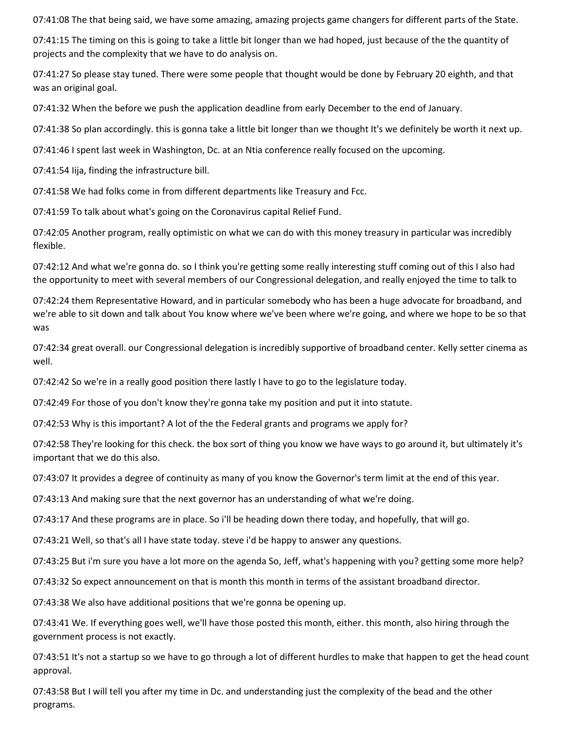07:41:08 The that being said, we have some amazing, amazing projects game changers for different parts of the State.

07:41:15 The timing on this is going to take a little bit longer than we had hoped, just because of the the quantity of projects and the complexity that we have to do analysis on.

07:41:27 So please stay tuned. There were some people that thought would be done by February 20 eighth, and that was an original goal.

07:41:32 When the before we push the application deadline from early December to the end of January.

07:41:38 So plan accordingly. this is gonna take a little bit longer than we thought It's we definitely be worth it next up.

07:41:46 I spent last week in Washington, Dc. at an Ntia conference really focused on the upcoming.

07:41:54 Iija, finding the infrastructure bill.

07:41:58 We had folks come in from different departments like Treasury and Fcc.

07:41:59 To talk about what's going on the Coronavirus capital Relief Fund.

07:42:05 Another program, really optimistic on what we can do with this money treasury in particular was incredibly flexible.

07:42:12 And what we're gonna do. so I think you're getting some really interesting stuff coming out of this I also had the opportunity to meet with several members of our Congressional delegation, and really enjoyed the time to talk to

07:42:24 them Representative Howard, and in particular somebody who has been a huge advocate for broadband, and we're able to sit down and talk about You know where we've been where we're going, and where we hope to be so that was

07:42:34 great overall. our Congressional delegation is incredibly supportive of broadband center. Kelly setter cinema as well.

07:42:42 So we're in a really good position there lastly I have to go to the legislature today.

07:42:49 For those of you don't know they're gonna take my position and put it into statute.

07:42:53 Why is this important? A lot of the the Federal grants and programs we apply for?

07:42:58 They're looking for this check. the box sort of thing you know we have ways to go around it, but ultimately it's important that we do this also.

07:43:07 It provides a degree of continuity as many of you know the Governor's term limit at the end of this year.

07:43:13 And making sure that the next governor has an understanding of what we're doing.

07:43:17 And these programs are in place. So i'll be heading down there today, and hopefully, that will go.

07:43:21 Well, so that's all I have state today. steve i'd be happy to answer any questions.

07:43:25 But i'm sure you have a lot more on the agenda So, Jeff, what's happening with you? getting some more help?

07:43:32 So expect announcement on that is month this month in terms of the assistant broadband director.

07:43:38 We also have additional positions that we're gonna be opening up.

07:43:41 We. If everything goes well, we'll have those posted this month, either. this month, also hiring through the government process is not exactly.

07:43:51 It's not a startup so we have to go through a lot of different hurdles to make that happen to get the head count approval.

07:43:58 But I will tell you after my time in Dc. and understanding just the complexity of the bead and the other programs.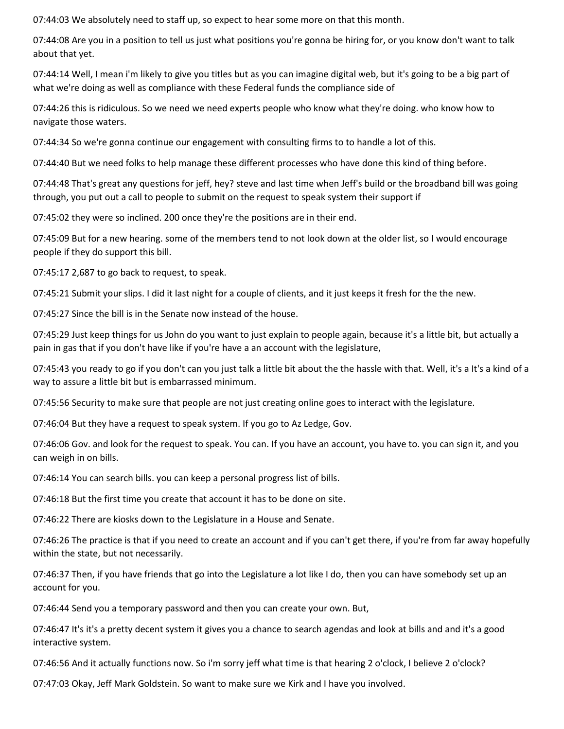07:44:03 We absolutely need to staff up, so expect to hear some more on that this month.

07:44:08 Are you in a position to tell us just what positions you're gonna be hiring for, or you know don't want to talk about that yet.

07:44:14 Well, I mean i'm likely to give you titles but as you can imagine digital web, but it's going to be a big part of what we're doing as well as compliance with these Federal funds the compliance side of

07:44:26 this is ridiculous. So we need we need experts people who know what they're doing. who know how to navigate those waters.

07:44:34 So we're gonna continue our engagement with consulting firms to to handle a lot of this.

07:44:40 But we need folks to help manage these different processes who have done this kind of thing before.

07:44:48 That's great any questions for jeff, hey? steve and last time when Jeff's build or the broadband bill was going through, you put out a call to people to submit on the request to speak system their support if

07:45:02 they were so inclined. 200 once they're the positions are in their end.

07:45:09 But for a new hearing. some of the members tend to not look down at the older list, so I would encourage people if they do support this bill.

07:45:17 2,687 to go back to request, to speak.

07:45:21 Submit your slips. I did it last night for a couple of clients, and it just keeps it fresh for the the new.

07:45:27 Since the bill is in the Senate now instead of the house.

07:45:29 Just keep things for us John do you want to just explain to people again, because it's a little bit, but actually a pain in gas that if you don't have like if you're have a an account with the legislature,

07:45:43 you ready to go if you don't can you just talk a little bit about the the hassle with that. Well, it's a It's a kind of a way to assure a little bit but is embarrassed minimum.

07:45:56 Security to make sure that people are not just creating online goes to interact with the legislature.

07:46:04 But they have a request to speak system. If you go to Az Ledge, Gov.

07:46:06 Gov. and look for the request to speak. You can. If you have an account, you have to. you can sign it, and you can weigh in on bills.

07:46:14 You can search bills. you can keep a personal progress list of bills.

07:46:18 But the first time you create that account it has to be done on site.

07:46:22 There are kiosks down to the Legislature in a House and Senate.

07:46:26 The practice is that if you need to create an account and if you can't get there, if you're from far away hopefully within the state, but not necessarily.

07:46:37 Then, if you have friends that go into the Legislature a lot like I do, then you can have somebody set up an account for you.

07:46:44 Send you a temporary password and then you can create your own. But,

07:46:47 It's it's a pretty decent system it gives you a chance to search agendas and look at bills and and it's a good interactive system.

07:46:56 And it actually functions now. So i'm sorry jeff what time is that hearing 2 o'clock, I believe 2 o'clock?

07:47:03 Okay, Jeff Mark Goldstein. So want to make sure we Kirk and I have you involved.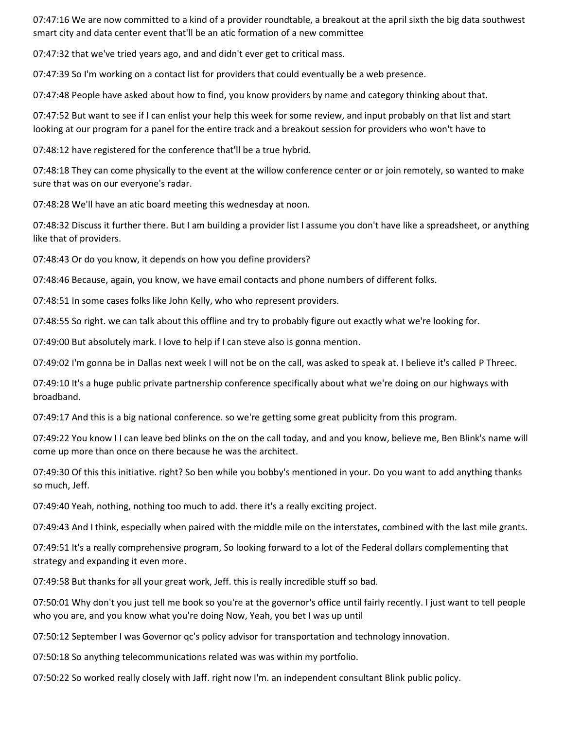07:47:16 We are now committed to a kind of a provider roundtable, a breakout at the april sixth the big data southwest smart city and data center event that'll be an atic formation of a new committee

07:47:32 that we've tried years ago, and and didn't ever get to critical mass.

07:47:39 So I'm working on a contact list for providers that could eventually be a web presence.

07:47:48 People have asked about how to find, you know providers by name and category thinking about that.

07:47:52 But want to see if I can enlist your help this week for some review, and input probably on that list and start looking at our program for a panel for the entire track and a breakout session for providers who won't have to

07:48:12 have registered for the conference that'll be a true hybrid.

07:48:18 They can come physically to the event at the willow conference center or or join remotely, so wanted to make sure that was on our everyone's radar.

07:48:28 We'll have an atic board meeting this wednesday at noon.

07:48:32 Discuss it further there. But I am building a provider list I assume you don't have like a spreadsheet, or anything like that of providers.

07:48:43 Or do you know, it depends on how you define providers?

07:48:46 Because, again, you know, we have email contacts and phone numbers of different folks.

07:48:51 In some cases folks like John Kelly, who who represent providers.

07:48:55 So right. we can talk about this offline and try to probably figure out exactly what we're looking for.

07:49:00 But absolutely mark. I love to help if I can steve also is gonna mention.

07:49:02 I'm gonna be in Dallas next week I will not be on the call, was asked to speak at. I believe it's called P Threec.

07:49:10 It's a huge public private partnership conference specifically about what we're doing on our highways with broadband.

07:49:17 And this is a big national conference. so we're getting some great publicity from this program.

07:49:22 You know I I can leave bed blinks on the on the call today, and and you know, believe me, Ben Blink's name will come up more than once on there because he was the architect.

07:49:30 Of this this initiative. right? So ben while you bobby's mentioned in your. Do you want to add anything thanks so much, Jeff.

07:49:40 Yeah, nothing, nothing too much to add. there it's a really exciting project.

07:49:43 And I think, especially when paired with the middle mile on the interstates, combined with the last mile grants.

07:49:51 It's a really comprehensive program, So looking forward to a lot of the Federal dollars complementing that strategy and expanding it even more.

07:49:58 But thanks for all your great work, Jeff. this is really incredible stuff so bad.

07:50:01 Why don't you just tell me book so you're at the governor's office until fairly recently. I just want to tell people who you are, and you know what you're doing Now, Yeah, you bet I was up until

07:50:12 September I was Governor qc's policy advisor for transportation and technology innovation.

07:50:18 So anything telecommunications related was was within my portfolio.

07:50:22 So worked really closely with Jaff. right now I'm. an independent consultant Blink public policy.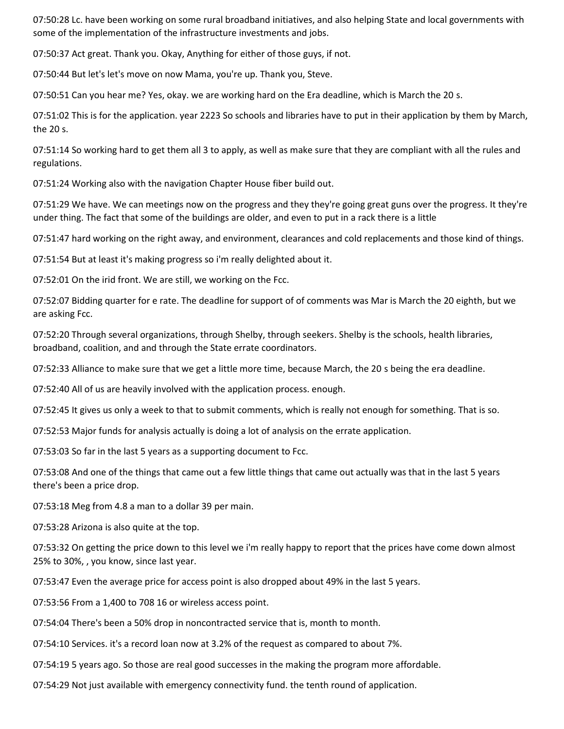07:50:28 Lc. have been working on some rural broadband initiatives, and also helping State and local governments with some of the implementation of the infrastructure investments and jobs.

07:50:37 Act great. Thank you. Okay, Anything for either of those guys, if not.

07:50:44 But let's let's move on now Mama, you're up. Thank you, Steve.

07:50:51 Can you hear me? Yes, okay. we are working hard on the Era deadline, which is March the 20 s.

07:51:02 This is for the application. year 2223 So schools and libraries have to put in their application by them by March, the 20 s.

07:51:14 So working hard to get them all 3 to apply, as well as make sure that they are compliant with all the rules and regulations.

07:51:24 Working also with the navigation Chapter House fiber build out.

07:51:29 We have. We can meetings now on the progress and they they're going great guns over the progress. It they're under thing. The fact that some of the buildings are older, and even to put in a rack there is a little

07:51:47 hard working on the right away, and environment, clearances and cold replacements and those kind of things.

07:51:54 But at least it's making progress so i'm really delighted about it.

07:52:01 On the irid front. We are still, we working on the Fcc.

07:52:07 Bidding quarter for e rate. The deadline for support of of comments was Mar is March the 20 eighth, but we are asking Fcc.

07:52:20 Through several organizations, through Shelby, through seekers. Shelby is the schools, health libraries, broadband, coalition, and and through the State errate coordinators.

07:52:33 Alliance to make sure that we get a little more time, because March, the 20 s being the era deadline.

07:52:40 All of us are heavily involved with the application process. enough.

07:52:45 It gives us only a week to that to submit comments, which is really not enough for something. That is so.

07:52:53 Major funds for analysis actually is doing a lot of analysis on the errate application.

07:53:03 So far in the last 5 years as a supporting document to Fcc.

07:53:08 And one of the things that came out a few little things that came out actually was that in the last 5 years there's been a price drop.

07:53:18 Meg from 4.8 a man to a dollar 39 per main.

07:53:28 Arizona is also quite at the top.

07:53:32 On getting the price down to this level we i'm really happy to report that the prices have come down almost 25% to 30%, , you know, since last year.

07:53:47 Even the average price for access point is also dropped about 49% in the last 5 years.

07:53:56 From a 1,400 to 708 16 or wireless access point.

07:54:04 There's been a 50% drop in noncontracted service that is, month to month.

07:54:10 Services. it's a record loan now at 3.2% of the request as compared to about 7%.

07:54:19 5 years ago. So those are real good successes in the making the program more affordable.

07:54:29 Not just available with emergency connectivity fund. the tenth round of application.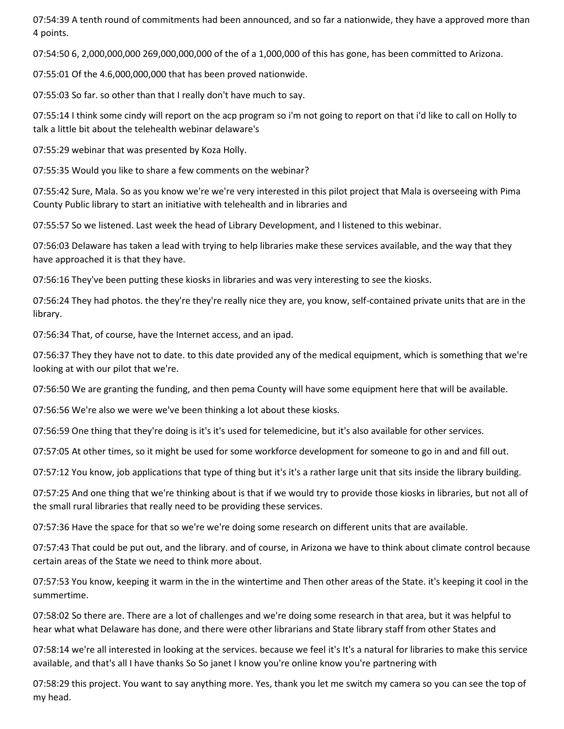07:54:39 A tenth round of commitments had been announced, and so far a nationwide, they have a approved more than 4 points.

07:54:50 6, 2,000,000,000 269,000,000,000 of the of a 1,000,000 of this has gone, has been committed to Arizona.

07:55:01 Of the 4.6,000,000,000 that has been proved nationwide.

07:55:03 So far. so other than that I really don't have much to say.

07:55:14 I think some cindy will report on the acp program so i'm not going to report on that i'd like to call on Holly to talk a little bit about the telehealth webinar delaware's

07:55:29 webinar that was presented by Koza Holly.

07:55:35 Would you like to share a few comments on the webinar?

07:55:42 Sure, Mala. So as you know we're we're very interested in this pilot project that Mala is overseeing with Pima County Public library to start an initiative with telehealth and in libraries and

07:55:57 So we listened. Last week the head of Library Development, and I listened to this webinar.

07:56:03 Delaware has taken a lead with trying to help libraries make these services available, and the way that they have approached it is that they have.

07:56:16 They've been putting these kiosks in libraries and was very interesting to see the kiosks.

07:56:24 They had photos. the they're they're really nice they are, you know, self-contained private units that are in the library.

07:56:34 That, of course, have the Internet access, and an ipad.

07:56:37 They they have not to date. to this date provided any of the medical equipment, which is something that we're looking at with our pilot that we're.

07:56:50 We are granting the funding, and then pema County will have some equipment here that will be available.

07:56:56 We're also we were we've been thinking a lot about these kiosks.

07:56:59 One thing that they're doing is it's it's used for telemedicine, but it's also available for other services.

07:57:05 At other times, so it might be used for some workforce development for someone to go in and and fill out.

07:57:12 You know, job applications that type of thing but it's it's a rather large unit that sits inside the library building.

07:57:25 And one thing that we're thinking about is that if we would try to provide those kiosks in libraries, but not all of the small rural libraries that really need to be providing these services.

07:57:36 Have the space for that so we're we're doing some research on different units that are available.

07:57:43 That could be put out, and the library. and of course, in Arizona we have to think about climate control because certain areas of the State we need to think more about.

07:57:53 You know, keeping it warm in the in the wintertime and Then other areas of the State. it's keeping it cool in the summertime.

07:58:02 So there are. There are a lot of challenges and we're doing some research in that area, but it was helpful to hear what what Delaware has done, and there were other librarians and State library staff from other States and

07:58:14 we're all interested in looking at the services. because we feel it's It's a natural for libraries to make this service available, and that's all I have thanks So So janet I know you're online know you're partnering with

07:58:29 this project. You want to say anything more. Yes, thank you let me switch my camera so you can see the top of my head.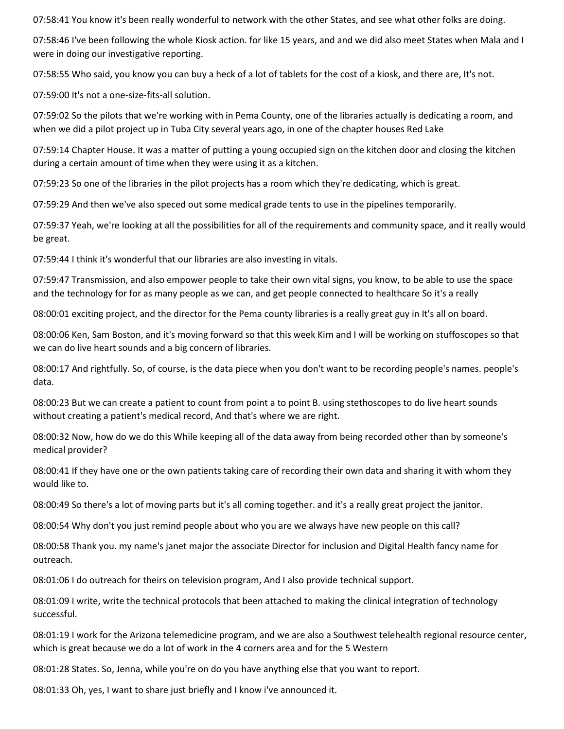07:58:41 You know it's been really wonderful to network with the other States, and see what other folks are doing.

07:58:46 I've been following the whole Kiosk action. for like 15 years, and and we did also meet States when Mala and I were in doing our investigative reporting.

07:58:55 Who said, you know you can buy a heck of a lot of tablets for the cost of a kiosk, and there are, It's not.

07:59:00 It's not a one-size-fits-all solution.

07:59:02 So the pilots that we're working with in Pema County, one of the libraries actually is dedicating a room, and when we did a pilot project up in Tuba City several years ago, in one of the chapter houses Red Lake

07:59:14 Chapter House. It was a matter of putting a young occupied sign on the kitchen door and closing the kitchen during a certain amount of time when they were using it as a kitchen.

07:59:23 So one of the libraries in the pilot projects has a room which they're dedicating, which is great.

07:59:29 And then we've also speced out some medical grade tents to use in the pipelines temporarily.

07:59:37 Yeah, we're looking at all the possibilities for all of the requirements and community space, and it really would be great.

07:59:44 I think it's wonderful that our libraries are also investing in vitals.

07:59:47 Transmission, and also empower people to take their own vital signs, you know, to be able to use the space and the technology for for as many people as we can, and get people connected to healthcare So it's a really

08:00:01 exciting project, and the director for the Pema county libraries is a really great guy in It's all on board.

08:00:06 Ken, Sam Boston, and it's moving forward so that this week Kim and I will be working on stuffoscopes so that we can do live heart sounds and a big concern of libraries.

08:00:17 And rightfully. So, of course, is the data piece when you don't want to be recording people's names. people's data.

08:00:23 But we can create a patient to count from point a to point B. using stethoscopes to do live heart sounds without creating a patient's medical record, And that's where we are right.

08:00:32 Now, how do we do this While keeping all of the data away from being recorded other than by someone's medical provider?

08:00:41 If they have one or the own patients taking care of recording their own data and sharing it with whom they would like to.

08:00:49 So there's a lot of moving parts but it's all coming together. and it's a really great project the janitor.

08:00:54 Why don't you just remind people about who you are we always have new people on this call?

08:00:58 Thank you. my name's janet major the associate Director for inclusion and Digital Health fancy name for outreach.

08:01:06 I do outreach for theirs on television program, And I also provide technical support.

08:01:09 I write, write the technical protocols that been attached to making the clinical integration of technology successful.

08:01:19 I work for the Arizona telemedicine program, and we are also a Southwest telehealth regional resource center, which is great because we do a lot of work in the 4 corners area and for the 5 Western

08:01:28 States. So, Jenna, while you're on do you have anything else that you want to report.

08:01:33 Oh, yes, I want to share just briefly and I know i've announced it.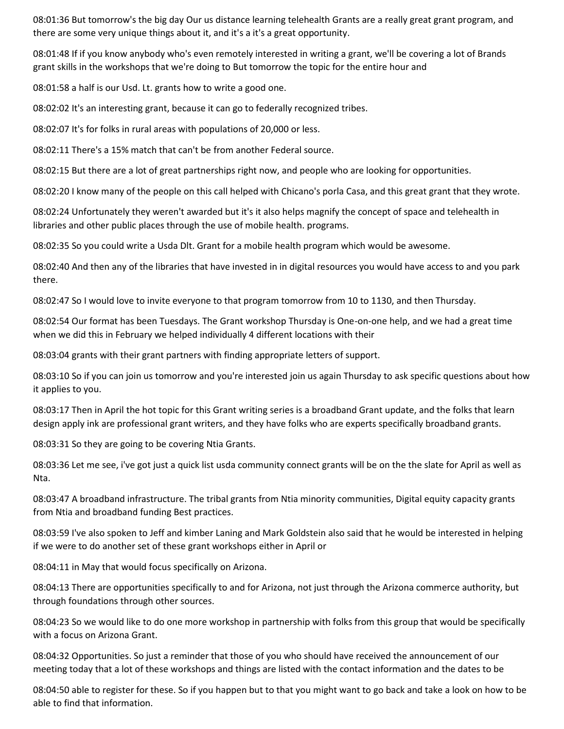08:01:36 But tomorrow's the big day Our us distance learning telehealth Grants are a really great grant program, and there are some very unique things about it, and it's a it's a great opportunity.

08:01:48 If if you know anybody who's even remotely interested in writing a grant, we'll be covering a lot of Brands grant skills in the workshops that we're doing to But tomorrow the topic for the entire hour and

08:01:58 a half is our Usd. Lt. grants how to write a good one.

08:02:02 It's an interesting grant, because it can go to federally recognized tribes.

08:02:07 It's for folks in rural areas with populations of 20,000 or less.

08:02:11 There's a 15% match that can't be from another Federal source.

08:02:15 But there are a lot of great partnerships right now, and people who are looking for opportunities.

08:02:20 I know many of the people on this call helped with Chicano's porla Casa, and this great grant that they wrote.

08:02:24 Unfortunately they weren't awarded but it's it also helps magnify the concept of space and telehealth in libraries and other public places through the use of mobile health. programs.

08:02:35 So you could write a Usda Dlt. Grant for a mobile health program which would be awesome.

08:02:40 And then any of the libraries that have invested in in digital resources you would have access to and you park there.

08:02:47 So I would love to invite everyone to that program tomorrow from 10 to 1130, and then Thursday.

08:02:54 Our format has been Tuesdays. The Grant workshop Thursday is One-on-one help, and we had a great time when we did this in February we helped individually 4 different locations with their

08:03:04 grants with their grant partners with finding appropriate letters of support.

08:03:10 So if you can join us tomorrow and you're interested join us again Thursday to ask specific questions about how it applies to you.

08:03:17 Then in April the hot topic for this Grant writing series is a broadband Grant update, and the folks that learn design apply ink are professional grant writers, and they have folks who are experts specifically broadband grants.

08:03:31 So they are going to be covering Ntia Grants.

08:03:36 Let me see, i've got just a quick list usda community connect grants will be on the the slate for April as well as Nta.

08:03:47 A broadband infrastructure. The tribal grants from Ntia minority communities, Digital equity capacity grants from Ntia and broadband funding Best practices.

08:03:59 I've also spoken to Jeff and kimber Laning and Mark Goldstein also said that he would be interested in helping if we were to do another set of these grant workshops either in April or

08:04:11 in May that would focus specifically on Arizona.

08:04:13 There are opportunities specifically to and for Arizona, not just through the Arizona commerce authority, but through foundations through other sources.

08:04:23 So we would like to do one more workshop in partnership with folks from this group that would be specifically with a focus on Arizona Grant.

08:04:32 Opportunities. So just a reminder that those of you who should have received the announcement of our meeting today that a lot of these workshops and things are listed with the contact information and the dates to be

08:04:50 able to register for these. So if you happen but to that you might want to go back and take a look on how to be able to find that information.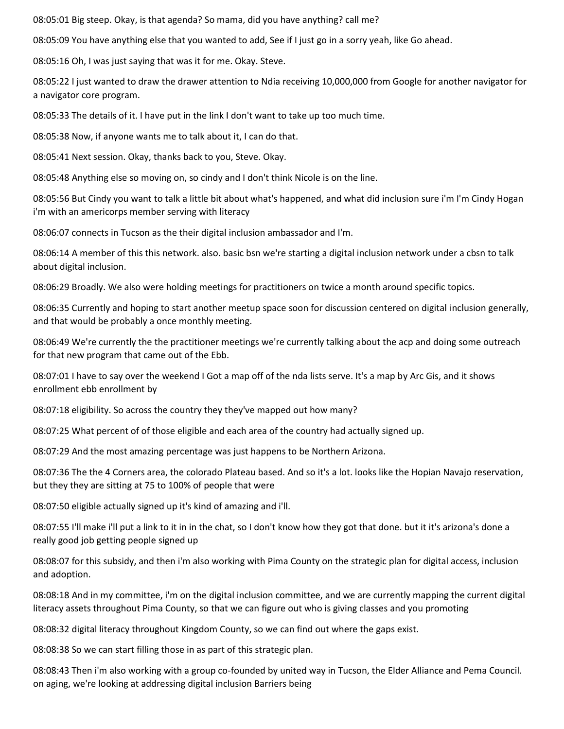08:05:01 Big steep. Okay, is that agenda? So mama, did you have anything? call me?

08:05:09 You have anything else that you wanted to add, See if I just go in a sorry yeah, like Go ahead.

08:05:16 Oh, I was just saying that was it for me. Okay. Steve.

08:05:22 I just wanted to draw the drawer attention to Ndia receiving 10,000,000 from Google for another navigator for a navigator core program.

08:05:33 The details of it. I have put in the link I don't want to take up too much time.

08:05:38 Now, if anyone wants me to talk about it, I can do that.

08:05:41 Next session. Okay, thanks back to you, Steve. Okay.

08:05:48 Anything else so moving on, so cindy and I don't think Nicole is on the line.

08:05:56 But Cindy you want to talk a little bit about what's happened, and what did inclusion sure i'm I'm Cindy Hogan i'm with an americorps member serving with literacy

08:06:07 connects in Tucson as the their digital inclusion ambassador and I'm.

08:06:14 A member of this this network. also. basic bsn we're starting a digital inclusion network under a cbsn to talk about digital inclusion.

08:06:29 Broadly. We also were holding meetings for practitioners on twice a month around specific topics.

08:06:35 Currently and hoping to start another meetup space soon for discussion centered on digital inclusion generally, and that would be probably a once monthly meeting.

08:06:49 We're currently the the practitioner meetings we're currently talking about the acp and doing some outreach for that new program that came out of the Ebb.

08:07:01 I have to say over the weekend I Got a map off of the nda lists serve. It's a map by Arc Gis, and it shows enrollment ebb enrollment by

08:07:18 eligibility. So across the country they they've mapped out how many?

08:07:25 What percent of of those eligible and each area of the country had actually signed up.

08:07:29 And the most amazing percentage was just happens to be Northern Arizona.

08:07:36 The the 4 Corners area, the colorado Plateau based. And so it's a lot. looks like the Hopian Navajo reservation, but they they are sitting at 75 to 100% of people that were

08:07:50 eligible actually signed up it's kind of amazing and i'll.

08:07:55 I'll make i'll put a link to it in in the chat, so I don't know how they got that done. but it it's arizona's done a really good job getting people signed up

08:08:07 for this subsidy, and then i'm also working with Pima County on the strategic plan for digital access, inclusion and adoption.

08:08:18 And in my committee, i'm on the digital inclusion committee, and we are currently mapping the current digital literacy assets throughout Pima County, so that we can figure out who is giving classes and you promoting

08:08:32 digital literacy throughout Kingdom County, so we can find out where the gaps exist.

08:08:38 So we can start filling those in as part of this strategic plan.

08:08:43 Then i'm also working with a group co-founded by united way in Tucson, the Elder Alliance and Pema Council. on aging, we're looking at addressing digital inclusion Barriers being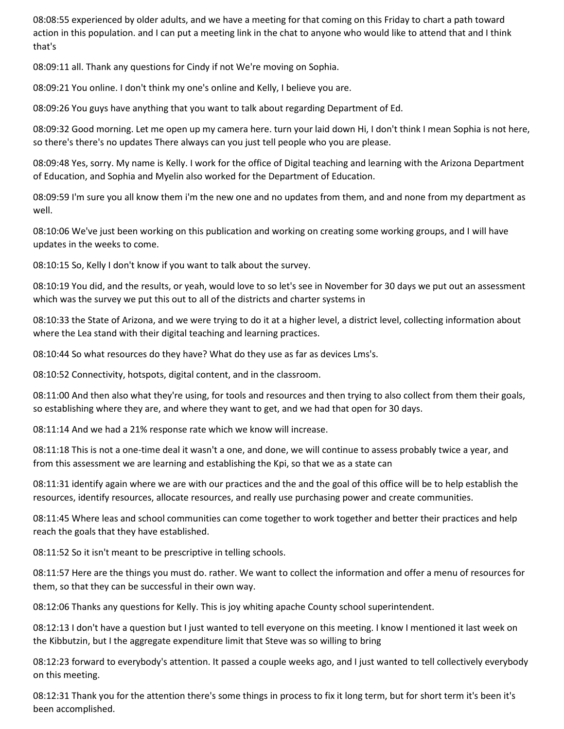08:08:55 experienced by older adults, and we have a meeting for that coming on this Friday to chart a path toward action in this population. and I can put a meeting link in the chat to anyone who would like to attend that and I think that's

08:09:11 all. Thank any questions for Cindy if not We're moving on Sophia.

08:09:21 You online. I don't think my one's online and Kelly, I believe you are.

08:09:26 You guys have anything that you want to talk about regarding Department of Ed.

08:09:32 Good morning. Let me open up my camera here. turn your laid down Hi, I don't think I mean Sophia is not here, so there's there's no updates There always can you just tell people who you are please.

08:09:48 Yes, sorry. My name is Kelly. I work for the office of Digital teaching and learning with the Arizona Department of Education, and Sophia and Myelin also worked for the Department of Education.

08:09:59 I'm sure you all know them i'm the new one and no updates from them, and and none from my department as well.

08:10:06 We've just been working on this publication and working on creating some working groups, and I will have updates in the weeks to come.

08:10:15 So, Kelly I don't know if you want to talk about the survey.

08:10:19 You did, and the results, or yeah, would love to so let's see in November for 30 days we put out an assessment which was the survey we put this out to all of the districts and charter systems in

08:10:33 the State of Arizona, and we were trying to do it at a higher level, a district level, collecting information about where the Lea stand with their digital teaching and learning practices.

08:10:44 So what resources do they have? What do they use as far as devices Lms's.

08:10:52 Connectivity, hotspots, digital content, and in the classroom.

08:11:00 And then also what they're using, for tools and resources and then trying to also collect from them their goals, so establishing where they are, and where they want to get, and we had that open for 30 days.

08:11:14 And we had a 21% response rate which we know will increase.

08:11:18 This is not a one-time deal it wasn't a one, and done, we will continue to assess probably twice a year, and from this assessment we are learning and establishing the Kpi, so that we as a state can

08:11:31 identify again where we are with our practices and the and the goal of this office will be to help establish the resources, identify resources, allocate resources, and really use purchasing power and create communities.

08:11:45 Where leas and school communities can come together to work together and better their practices and help reach the goals that they have established.

08:11:52 So it isn't meant to be prescriptive in telling schools.

08:11:57 Here are the things you must do. rather. We want to collect the information and offer a menu of resources for them, so that they can be successful in their own way.

08:12:06 Thanks any questions for Kelly. This is joy whiting apache County school superintendent.

08:12:13 I don't have a question but I just wanted to tell everyone on this meeting. I know I mentioned it last week on the Kibbutzin, but I the aggregate expenditure limit that Steve was so willing to bring

08:12:23 forward to everybody's attention. It passed a couple weeks ago, and I just wanted to tell collectively everybody on this meeting.

08:12:31 Thank you for the attention there's some things in process to fix it long term, but for short term it's been it's been accomplished.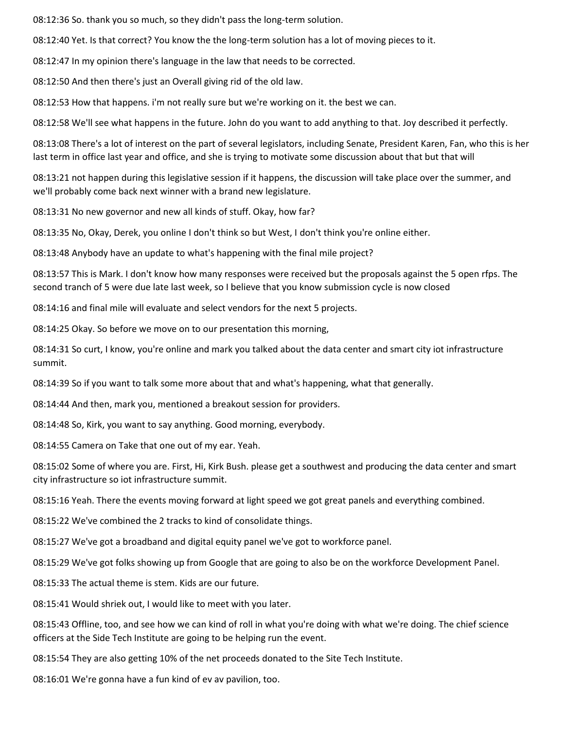08:12:36 So. thank you so much, so they didn't pass the long-term solution.

08:12:40 Yet. Is that correct? You know the the long-term solution has a lot of moving pieces to it.

08:12:47 In my opinion there's language in the law that needs to be corrected.

08:12:50 And then there's just an Overall giving rid of the old law.

08:12:53 How that happens. i'm not really sure but we're working on it. the best we can.

08:12:58 We'll see what happens in the future. John do you want to add anything to that. Joy described it perfectly.

08:13:08 There's a lot of interest on the part of several legislators, including Senate, President Karen, Fan, who this is her last term in office last year and office, and she is trying to motivate some discussion about that but that will

08:13:21 not happen during this legislative session if it happens, the discussion will take place over the summer, and we'll probably come back next winner with a brand new legislature.

08:13:31 No new governor and new all kinds of stuff. Okay, how far?

08:13:35 No, Okay, Derek, you online I don't think so but West, I don't think you're online either.

08:13:48 Anybody have an update to what's happening with the final mile project?

08:13:57 This is Mark. I don't know how many responses were received but the proposals against the 5 open rfps. The second tranch of 5 were due late last week, so I believe that you know submission cycle is now closed

08:14:16 and final mile will evaluate and select vendors for the next 5 projects.

08:14:25 Okay. So before we move on to our presentation this morning,

08:14:31 So curt, I know, you're online and mark you talked about the data center and smart city iot infrastructure summit.

08:14:39 So if you want to talk some more about that and what's happening, what that generally.

08:14:44 And then, mark you, mentioned a breakout session for providers.

08:14:48 So, Kirk, you want to say anything. Good morning, everybody.

08:14:55 Camera on Take that one out of my ear. Yeah.

08:15:02 Some of where you are. First, Hi, Kirk Bush. please get a southwest and producing the data center and smart city infrastructure so iot infrastructure summit.

08:15:16 Yeah. There the events moving forward at light speed we got great panels and everything combined.

08:15:22 We've combined the 2 tracks to kind of consolidate things.

08:15:27 We've got a broadband and digital equity panel we've got to workforce panel.

08:15:29 We've got folks showing up from Google that are going to also be on the workforce Development Panel.

08:15:33 The actual theme is stem. Kids are our future.

08:15:41 Would shriek out, I would like to meet with you later.

08:15:43 Offline, too, and see how we can kind of roll in what you're doing with what we're doing. The chief science officers at the Side Tech Institute are going to be helping run the event.

08:15:54 They are also getting 10% of the net proceeds donated to the Site Tech Institute.

08:16:01 We're gonna have a fun kind of ev av pavilion, too.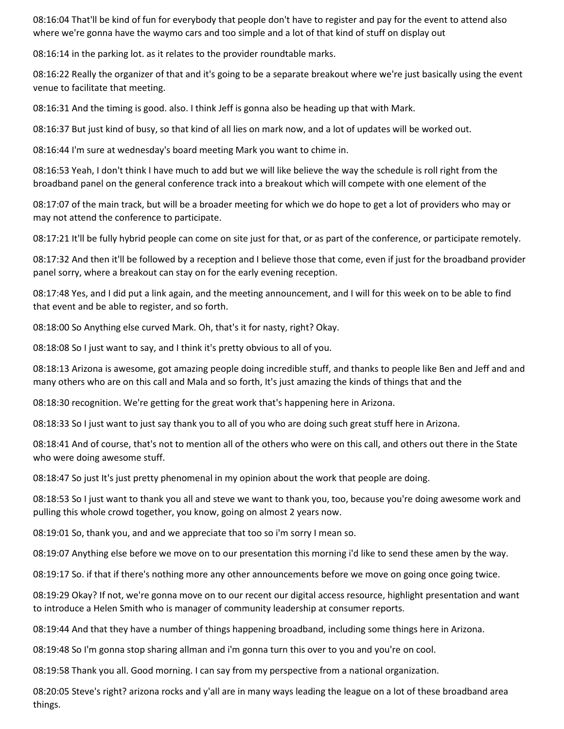08:16:04 That'll be kind of fun for everybody that people don't have to register and pay for the event to attend also where we're gonna have the waymo cars and too simple and a lot of that kind of stuff on display out

08:16:14 in the parking lot. as it relates to the provider roundtable marks.

08:16:22 Really the organizer of that and it's going to be a separate breakout where we're just basically using the event venue to facilitate that meeting.

08:16:31 And the timing is good. also. I think Jeff is gonna also be heading up that with Mark.

08:16:37 But just kind of busy, so that kind of all lies on mark now, and a lot of updates will be worked out.

08:16:44 I'm sure at wednesday's board meeting Mark you want to chime in.

08:16:53 Yeah, I don't think I have much to add but we will like believe the way the schedule is roll right from the broadband panel on the general conference track into a breakout which will compete with one element of the

08:17:07 of the main track, but will be a broader meeting for which we do hope to get a lot of providers who may or may not attend the conference to participate.

08:17:21 It'll be fully hybrid people can come on site just for that, or as part of the conference, or participate remotely.

08:17:32 And then it'll be followed by a reception and I believe those that come, even if just for the broadband provider panel sorry, where a breakout can stay on for the early evening reception.

08:17:48 Yes, and I did put a link again, and the meeting announcement, and I will for this week on to be able to find that event and be able to register, and so forth.

08:18:00 So Anything else curved Mark. Oh, that's it for nasty, right? Okay.

08:18:08 So I just want to say, and I think it's pretty obvious to all of you.

08:18:13 Arizona is awesome, got amazing people doing incredible stuff, and thanks to people like Ben and Jeff and and many others who are on this call and Mala and so forth, It's just amazing the kinds of things that and the

08:18:30 recognition. We're getting for the great work that's happening here in Arizona.

08:18:33 So I just want to just say thank you to all of you who are doing such great stuff here in Arizona.

08:18:41 And of course, that's not to mention all of the others who were on this call, and others out there in the State who were doing awesome stuff.

08:18:47 So just It's just pretty phenomenal in my opinion about the work that people are doing.

08:18:53 So I just want to thank you all and steve we want to thank you, too, because you're doing awesome work and pulling this whole crowd together, you know, going on almost 2 years now.

08:19:01 So, thank you, and and we appreciate that too so i'm sorry I mean so.

08:19:07 Anything else before we move on to our presentation this morning i'd like to send these amen by the way.

08:19:17 So. if that if there's nothing more any other announcements before we move on going once going twice.

08:19:29 Okay? If not, we're gonna move on to our recent our digital access resource, highlight presentation and want to introduce a Helen Smith who is manager of community leadership at consumer reports.

08:19:44 And that they have a number of things happening broadband, including some things here in Arizona.

08:19:48 So I'm gonna stop sharing allman and i'm gonna turn this over to you and you're on cool.

08:19:58 Thank you all. Good morning. I can say from my perspective from a national organization.

08:20:05 Steve's right? arizona rocks and y'all are in many ways leading the league on a lot of these broadband area things.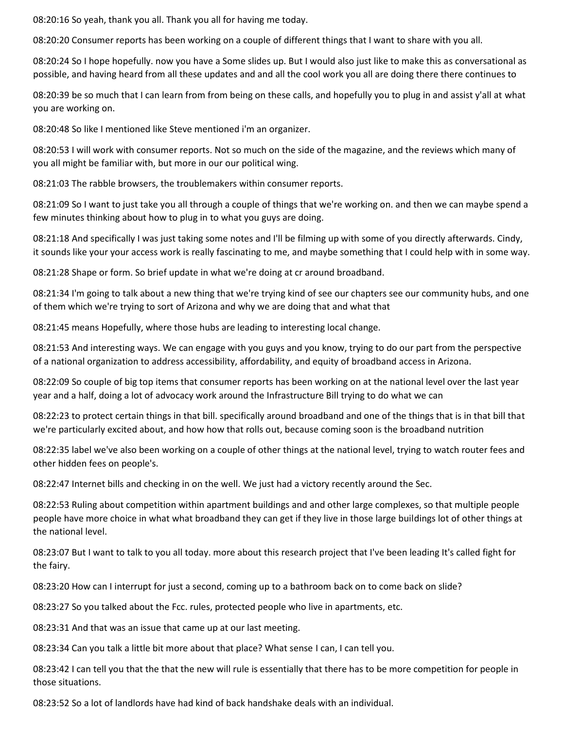08:20:16 So yeah, thank you all. Thank you all for having me today.

08:20:20 Consumer reports has been working on a couple of different things that I want to share with you all.

08:20:24 So I hope hopefully. now you have a Some slides up. But I would also just like to make this as conversational as possible, and having heard from all these updates and and all the cool work you all are doing there there continues to

08:20:39 be so much that I can learn from from being on these calls, and hopefully you to plug in and assist y'all at what you are working on.

08:20:48 So like I mentioned like Steve mentioned i'm an organizer.

08:20:53 I will work with consumer reports. Not so much on the side of the magazine, and the reviews which many of you all might be familiar with, but more in our our political wing.

08:21:03 The rabble browsers, the troublemakers within consumer reports.

08:21:09 So I want to just take you all through a couple of things that we're working on. and then we can maybe spend a few minutes thinking about how to plug in to what you guys are doing.

08:21:18 And specifically I was just taking some notes and I'll be filming up with some of you directly afterwards. Cindy, it sounds like your your access work is really fascinating to me, and maybe something that I could help with in some way.

08:21:28 Shape or form. So brief update in what we're doing at cr around broadband.

08:21:34 I'm going to talk about a new thing that we're trying kind of see our chapters see our community hubs, and one of them which we're trying to sort of Arizona and why we are doing that and what that

08:21:45 means Hopefully, where those hubs are leading to interesting local change.

08:21:53 And interesting ways. We can engage with you guys and you know, trying to do our part from the perspective of a national organization to address accessibility, affordability, and equity of broadband access in Arizona.

08:22:09 So couple of big top items that consumer reports has been working on at the national level over the last year year and a half, doing a lot of advocacy work around the Infrastructure Bill trying to do what we can

08:22:23 to protect certain things in that bill. specifically around broadband and one of the things that is in that bill that we're particularly excited about, and how how that rolls out, because coming soon is the broadband nutrition

08:22:35 label we've also been working on a couple of other things at the national level, trying to watch router fees and other hidden fees on people's.

08:22:47 Internet bills and checking in on the well. We just had a victory recently around the Sec.

08:22:53 Ruling about competition within apartment buildings and and other large complexes, so that multiple people people have more choice in what what broadband they can get if they live in those large buildings lot of other things at the national level.

08:23:07 But I want to talk to you all today. more about this research project that I've been leading It's called fight for the fairy.

08:23:20 How can I interrupt for just a second, coming up to a bathroom back on to come back on slide?

08:23:27 So you talked about the Fcc. rules, protected people who live in apartments, etc.

08:23:31 And that was an issue that came up at our last meeting.

08:23:34 Can you talk a little bit more about that place? What sense I can, I can tell you.

08:23:42 I can tell you that the that the new will rule is essentially that there has to be more competition for people in those situations.

08:23:52 So a lot of landlords have had kind of back handshake deals with an individual.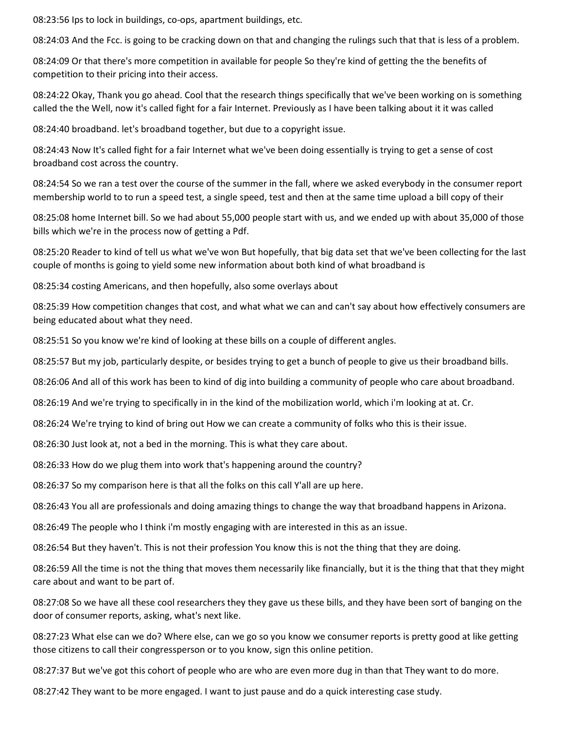08:23:56 Ips to lock in buildings, co-ops, apartment buildings, etc.

08:24:03 And the Fcc. is going to be cracking down on that and changing the rulings such that that is less of a problem.

08:24:09 Or that there's more competition in available for people So they're kind of getting the the benefits of competition to their pricing into their access.

08:24:22 Okay, Thank you go ahead. Cool that the research things specifically that we've been working on is something called the the Well, now it's called fight for a fair Internet. Previously as I have been talking about it it was called

08:24:40 broadband. let's broadband together, but due to a copyright issue.

08:24:43 Now It's called fight for a fair Internet what we've been doing essentially is trying to get a sense of cost broadband cost across the country.

08:24:54 So we ran a test over the course of the summer in the fall, where we asked everybody in the consumer report membership world to to run a speed test, a single speed, test and then at the same time upload a bill copy of their

08:25:08 home Internet bill. So we had about 55,000 people start with us, and we ended up with about 35,000 of those bills which we're in the process now of getting a Pdf.

08:25:20 Reader to kind of tell us what we've won But hopefully, that big data set that we've been collecting for the last couple of months is going to yield some new information about both kind of what broadband is

08:25:34 costing Americans, and then hopefully, also some overlays about

08:25:39 How competition changes that cost, and what what we can and can't say about how effectively consumers are being educated about what they need.

08:25:51 So you know we're kind of looking at these bills on a couple of different angles.

08:25:57 But my job, particularly despite, or besides trying to get a bunch of people to give us their broadband bills.

08:26:06 And all of this work has been to kind of dig into building a community of people who care about broadband.

08:26:19 And we're trying to specifically in in the kind of the mobilization world, which i'm looking at at. Cr.

08:26:24 We're trying to kind of bring out How we can create a community of folks who this is their issue.

08:26:30 Just look at, not a bed in the morning. This is what they care about.

08:26:33 How do we plug them into work that's happening around the country?

08:26:37 So my comparison here is that all the folks on this call Y'all are up here.

08:26:43 You all are professionals and doing amazing things to change the way that broadband happens in Arizona.

08:26:49 The people who I think i'm mostly engaging with are interested in this as an issue.

08:26:54 But they haven't. This is not their profession You know this is not the thing that they are doing.

08:26:59 All the time is not the thing that moves them necessarily like financially, but it is the thing that that they might care about and want to be part of.

08:27:08 So we have all these cool researchers they they gave us these bills, and they have been sort of banging on the door of consumer reports, asking, what's next like.

08:27:23 What else can we do? Where else, can we go so you know we consumer reports is pretty good at like getting those citizens to call their congressperson or to you know, sign this online petition.

08:27:37 But we've got this cohort of people who are who are even more dug in than that They want to do more.

08:27:42 They want to be more engaged. I want to just pause and do a quick interesting case study.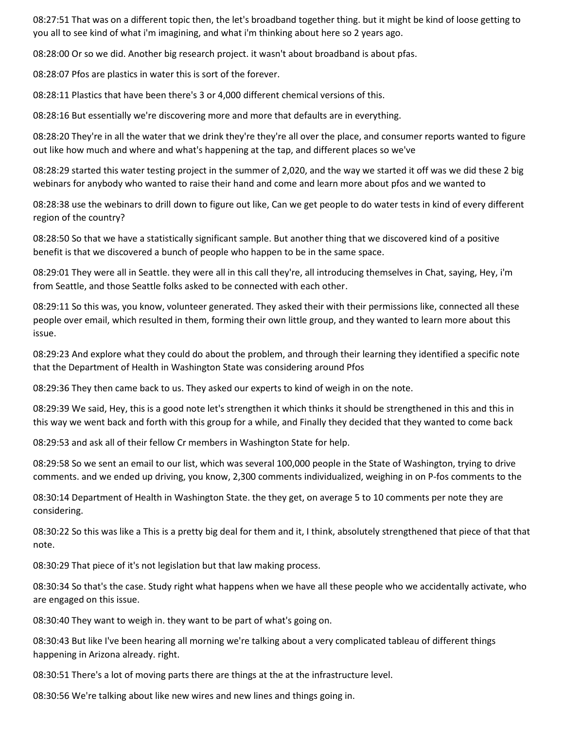08:27:51 That was on a different topic then, the let's broadband together thing. but it might be kind of loose getting to you all to see kind of what i'm imagining, and what i'm thinking about here so 2 years ago.

08:28:00 Or so we did. Another big research project. it wasn't about broadband is about pfas.

08:28:07 Pfos are plastics in water this is sort of the forever.

08:28:11 Plastics that have been there's 3 or 4,000 different chemical versions of this.

08:28:16 But essentially we're discovering more and more that defaults are in everything.

08:28:20 They're in all the water that we drink they're they're all over the place, and consumer reports wanted to figure out like how much and where and what's happening at the tap, and different places so we've

08:28:29 started this water testing project in the summer of 2,020, and the way we started it off was we did these 2 big webinars for anybody who wanted to raise their hand and come and learn more about pfos and we wanted to

08:28:38 use the webinars to drill down to figure out like, Can we get people to do water tests in kind of every different region of the country?

08:28:50 So that we have a statistically significant sample. But another thing that we discovered kind of a positive benefit is that we discovered a bunch of people who happen to be in the same space.

08:29:01 They were all in Seattle. they were all in this call they're, all introducing themselves in Chat, saying, Hey, i'm from Seattle, and those Seattle folks asked to be connected with each other.

08:29:11 So this was, you know, volunteer generated. They asked their with their permissions like, connected all these people over email, which resulted in them, forming their own little group, and they wanted to learn more about this issue.

08:29:23 And explore what they could do about the problem, and through their learning they identified a specific note that the Department of Health in Washington State was considering around Pfos

08:29:36 They then came back to us. They asked our experts to kind of weigh in on the note.

08:29:39 We said, Hey, this is a good note let's strengthen it which thinks it should be strengthened in this and this in this way we went back and forth with this group for a while, and Finally they decided that they wanted to come back

08:29:53 and ask all of their fellow Cr members in Washington State for help.

08:29:58 So we sent an email to our list, which was several 100,000 people in the State of Washington, trying to drive comments. and we ended up driving, you know, 2,300 comments individualized, weighing in on P-fos comments to the

08:30:14 Department of Health in Washington State. the they get, on average 5 to 10 comments per note they are considering.

08:30:22 So this was like a This is a pretty big deal for them and it, I think, absolutely strengthened that piece of that that note.

08:30:29 That piece of it's not legislation but that law making process.

08:30:34 So that's the case. Study right what happens when we have all these people who we accidentally activate, who are engaged on this issue.

08:30:40 They want to weigh in. they want to be part of what's going on.

08:30:43 But like I've been hearing all morning we're talking about a very complicated tableau of different things happening in Arizona already. right.

08:30:51 There's a lot of moving parts there are things at the at the infrastructure level.

08:30:56 We're talking about like new wires and new lines and things going in.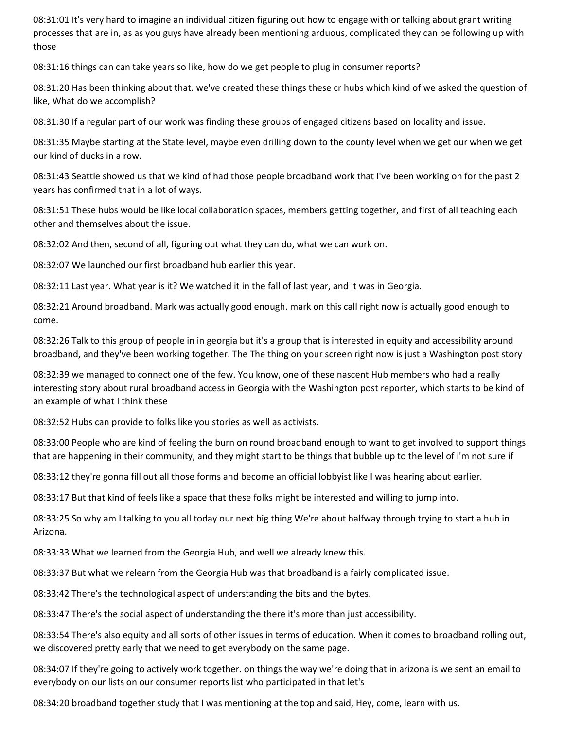08:31:01 It's very hard to imagine an individual citizen figuring out how to engage with or talking about grant writing processes that are in, as as you guys have already been mentioning arduous, complicated they can be following up with those

08:31:16 things can can take years so like, how do we get people to plug in consumer reports?

08:31:20 Has been thinking about that. we've created these things these cr hubs which kind of we asked the question of like, What do we accomplish?

08:31:30 If a regular part of our work was finding these groups of engaged citizens based on locality and issue.

08:31:35 Maybe starting at the State level, maybe even drilling down to the county level when we get our when we get our kind of ducks in a row.

08:31:43 Seattle showed us that we kind of had those people broadband work that I've been working on for the past 2 years has confirmed that in a lot of ways.

08:31:51 These hubs would be like local collaboration spaces, members getting together, and first of all teaching each other and themselves about the issue.

08:32:02 And then, second of all, figuring out what they can do, what we can work on.

08:32:07 We launched our first broadband hub earlier this year.

08:32:11 Last year. What year is it? We watched it in the fall of last year, and it was in Georgia.

08:32:21 Around broadband. Mark was actually good enough. mark on this call right now is actually good enough to come.

08:32:26 Talk to this group of people in in georgia but it's a group that is interested in equity and accessibility around broadband, and they've been working together. The The thing on your screen right now is just a Washington post story

08:32:39 we managed to connect one of the few. You know, one of these nascent Hub members who had a really interesting story about rural broadband access in Georgia with the Washington post reporter, which starts to be kind of an example of what I think these

08:32:52 Hubs can provide to folks like you stories as well as activists.

08:33:00 People who are kind of feeling the burn on round broadband enough to want to get involved to support things that are happening in their community, and they might start to be things that bubble up to the level of i'm not sure if

08:33:12 they're gonna fill out all those forms and become an official lobbyist like I was hearing about earlier.

08:33:17 But that kind of feels like a space that these folks might be interested and willing to jump into.

08:33:25 So why am I talking to you all today our next big thing We're about halfway through trying to start a hub in Arizona.

08:33:33 What we learned from the Georgia Hub, and well we already knew this.

08:33:37 But what we relearn from the Georgia Hub was that broadband is a fairly complicated issue.

08:33:42 There's the technological aspect of understanding the bits and the bytes.

08:33:47 There's the social aspect of understanding the there it's more than just accessibility.

08:33:54 There's also equity and all sorts of other issues in terms of education. When it comes to broadband rolling out, we discovered pretty early that we need to get everybody on the same page.

08:34:07 If they're going to actively work together. on things the way we're doing that in arizona is we sent an email to everybody on our lists on our consumer reports list who participated in that let's

08:34:20 broadband together study that I was mentioning at the top and said, Hey, come, learn with us.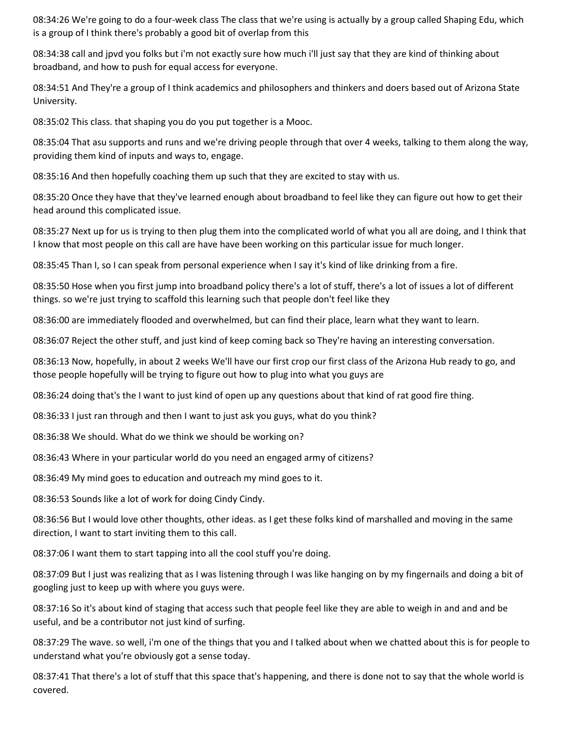08:34:26 We're going to do a four-week class The class that we're using is actually by a group called Shaping Edu, which is a group of I think there's probably a good bit of overlap from this

08:34:38 call and jpvd you folks but i'm not exactly sure how much i'll just say that they are kind of thinking about broadband, and how to push for equal access for everyone.

08:34:51 And They're a group of I think academics and philosophers and thinkers and doers based out of Arizona State University.

08:35:02 This class. that shaping you do you put together is a Mooc.

08:35:04 That asu supports and runs and we're driving people through that over 4 weeks, talking to them along the way, providing them kind of inputs and ways to, engage.

08:35:16 And then hopefully coaching them up such that they are excited to stay with us.

08:35:20 Once they have that they've learned enough about broadband to feel like they can figure out how to get their head around this complicated issue.

08:35:27 Next up for us is trying to then plug them into the complicated world of what you all are doing, and I think that I know that most people on this call are have have been working on this particular issue for much longer.

08:35:45 Than I, so I can speak from personal experience when I say it's kind of like drinking from a fire.

08:35:50 Hose when you first jump into broadband policy there's a lot of stuff, there's a lot of issues a lot of different things. so we're just trying to scaffold this learning such that people don't feel like they

08:36:00 are immediately flooded and overwhelmed, but can find their place, learn what they want to learn.

08:36:07 Reject the other stuff, and just kind of keep coming back so They're having an interesting conversation.

08:36:13 Now, hopefully, in about 2 weeks We'll have our first crop our first class of the Arizona Hub ready to go, and those people hopefully will be trying to figure out how to plug into what you guys are

08:36:24 doing that's the I want to just kind of open up any questions about that kind of rat good fire thing.

08:36:33 I just ran through and then I want to just ask you guys, what do you think?

08:36:38 We should. What do we think we should be working on?

08:36:43 Where in your particular world do you need an engaged army of citizens?

08:36:49 My mind goes to education and outreach my mind goes to it.

08:36:53 Sounds like a lot of work for doing Cindy Cindy.

08:36:56 But I would love other thoughts, other ideas. as I get these folks kind of marshalled and moving in the same direction, I want to start inviting them to this call.

08:37:06 I want them to start tapping into all the cool stuff you're doing.

08:37:09 But I just was realizing that as I was listening through I was like hanging on by my fingernails and doing a bit of googling just to keep up with where you guys were.

08:37:16 So it's about kind of staging that access such that people feel like they are able to weigh in and and and be useful, and be a contributor not just kind of surfing.

08:37:29 The wave. so well, i'm one of the things that you and I talked about when we chatted about this is for people to understand what you're obviously got a sense today.

08:37:41 That there's a lot of stuff that this space that's happening, and there is done not to say that the whole world is covered.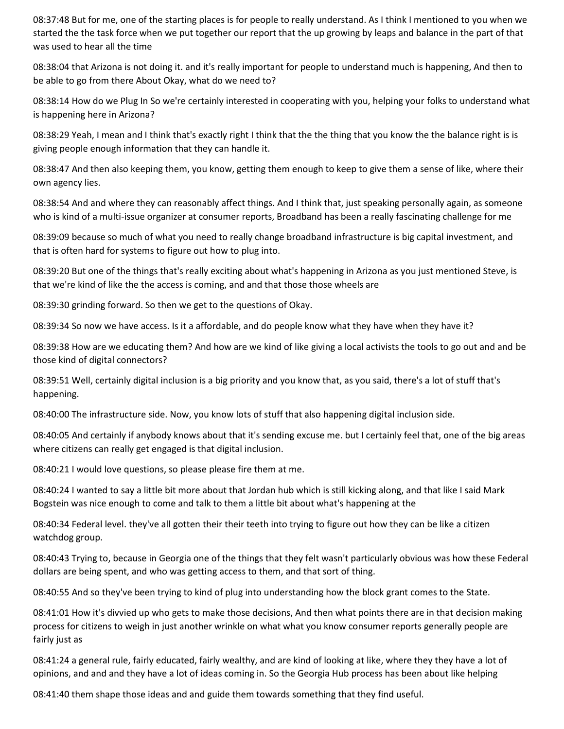08:37:48 But for me, one of the starting places is for people to really understand. As I think I mentioned to you when we started the the task force when we put together our report that the up growing by leaps and balance in the part of that was used to hear all the time

08:38:04 that Arizona is not doing it. and it's really important for people to understand much is happening, And then to be able to go from there About Okay, what do we need to?

08:38:14 How do we Plug In So we're certainly interested in cooperating with you, helping your folks to understand what is happening here in Arizona?

08:38:29 Yeah, I mean and I think that's exactly right I think that the the thing that you know the the balance right is is giving people enough information that they can handle it.

08:38:47 And then also keeping them, you know, getting them enough to keep to give them a sense of like, where their own agency lies.

08:38:54 And and where they can reasonably affect things. And I think that, just speaking personally again, as someone who is kind of a multi-issue organizer at consumer reports, Broadband has been a really fascinating challenge for me

08:39:09 because so much of what you need to really change broadband infrastructure is big capital investment, and that is often hard for systems to figure out how to plug into.

08:39:20 But one of the things that's really exciting about what's happening in Arizona as you just mentioned Steve, is that we're kind of like the the access is coming, and and that those those wheels are

08:39:30 grinding forward. So then we get to the questions of Okay.

08:39:34 So now we have access. Is it a affordable, and do people know what they have when they have it?

08:39:38 How are we educating them? And how are we kind of like giving a local activists the tools to go out and and be those kind of digital connectors?

08:39:51 Well, certainly digital inclusion is a big priority and you know that, as you said, there's a lot of stuff that's happening.

08:40:00 The infrastructure side. Now, you know lots of stuff that also happening digital inclusion side.

08:40:05 And certainly if anybody knows about that it's sending excuse me. but I certainly feel that, one of the big areas where citizens can really get engaged is that digital inclusion.

08:40:21 I would love questions, so please please fire them at me.

08:40:24 I wanted to say a little bit more about that Jordan hub which is still kicking along, and that like I said Mark Bogstein was nice enough to come and talk to them a little bit about what's happening at the

08:40:34 Federal level. they've all gotten their their teeth into trying to figure out how they can be like a citizen watchdog group.

08:40:43 Trying to, because in Georgia one of the things that they felt wasn't particularly obvious was how these Federal dollars are being spent, and who was getting access to them, and that sort of thing.

08:40:55 And so they've been trying to kind of plug into understanding how the block grant comes to the State.

08:41:01 How it's divvied up who gets to make those decisions, And then what points there are in that decision making process for citizens to weigh in just another wrinkle on what what you know consumer reports generally people are fairly just as

08:41:24 a general rule, fairly educated, fairly wealthy, and are kind of looking at like, where they they have a lot of opinions, and and and they have a lot of ideas coming in. So the Georgia Hub process has been about like helping

08:41:40 them shape those ideas and and guide them towards something that they find useful.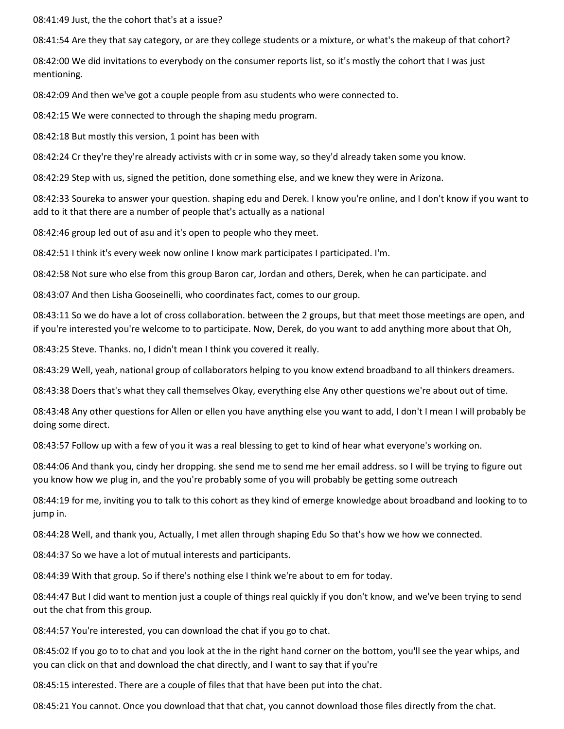08:41:49 Just, the the cohort that's at a issue?

08:41:54 Are they that say category, or are they college students or a mixture, or what's the makeup of that cohort?

08:42:00 We did invitations to everybody on the consumer reports list, so it's mostly the cohort that I was just mentioning.

08:42:09 And then we've got a couple people from asu students who were connected to.

08:42:15 We were connected to through the shaping medu program.

08:42:18 But mostly this version, 1 point has been with

08:42:24 Cr they're they're already activists with cr in some way, so they'd already taken some you know.

08:42:29 Step with us, signed the petition, done something else, and we knew they were in Arizona.

08:42:33 Soureka to answer your question. shaping edu and Derek. I know you're online, and I don't know if you want to add to it that there are a number of people that's actually as a national

08:42:46 group led out of asu and it's open to people who they meet.

08:42:51 I think it's every week now online I know mark participates I participated. I'm.

08:42:58 Not sure who else from this group Baron car, Jordan and others, Derek, when he can participate. and

08:43:07 And then Lisha Gooseinelli, who coordinates fact, comes to our group.

08:43:11 So we do have a lot of cross collaboration. between the 2 groups, but that meet those meetings are open, and if you're interested you're welcome to to participate. Now, Derek, do you want to add anything more about that Oh,

08:43:25 Steve. Thanks. no, I didn't mean I think you covered it really.

08:43:29 Well, yeah, national group of collaborators helping to you know extend broadband to all thinkers dreamers.

08:43:38 Doers that's what they call themselves Okay, everything else Any other questions we're about out of time.

08:43:48 Any other questions for Allen or ellen you have anything else you want to add, I don't I mean I will probably be doing some direct.

08:43:57 Follow up with a few of you it was a real blessing to get to kind of hear what everyone's working on.

08:44:06 And thank you, cindy her dropping. she send me to send me her email address. so I will be trying to figure out you know how we plug in, and the you're probably some of you will probably be getting some outreach

08:44:19 for me, inviting you to talk to this cohort as they kind of emerge knowledge about broadband and looking to to jump in.

08:44:28 Well, and thank you, Actually, I met allen through shaping Edu So that's how we how we connected.

08:44:37 So we have a lot of mutual interests and participants.

08:44:39 With that group. So if there's nothing else I think we're about to em for today.

08:44:47 But I did want to mention just a couple of things real quickly if you don't know, and we've been trying to send out the chat from this group.

08:44:57 You're interested, you can download the chat if you go to chat.

08:45:02 If you go to to chat and you look at the in the right hand corner on the bottom, you'll see the year whips, and you can click on that and download the chat directly, and I want to say that if you're

08:45:15 interested. There are a couple of files that that have been put into the chat.

08:45:21 You cannot. Once you download that that chat, you cannot download those files directly from the chat.